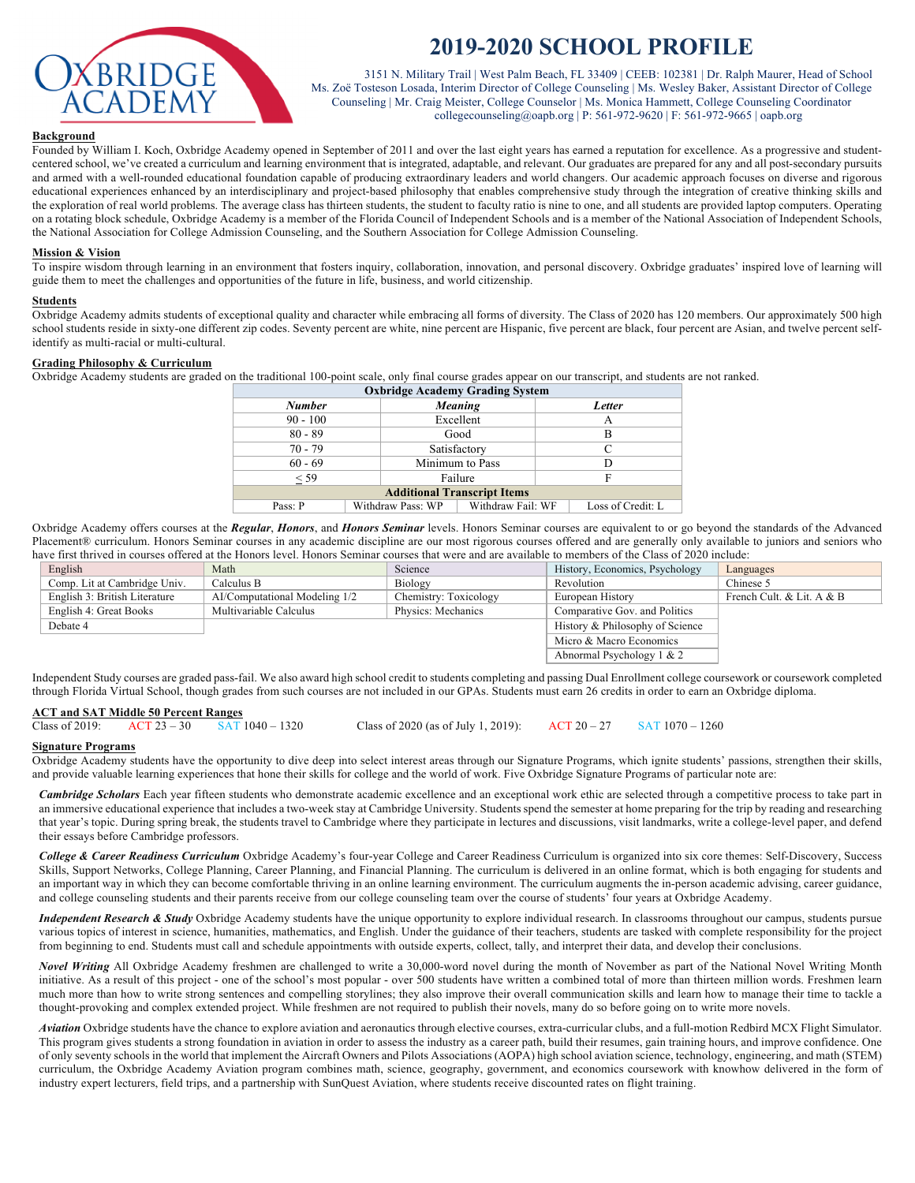

# **2019-2020 SCHOOL PROFILE**

3151 N. Military Trail | West Palm Beach, FL 33409 | CEEB: 102381 | Dr. Ralph Maurer, Head of School Ms. Zoë Tosteson Losada, Interim Director of College Counseling | Ms. Wesley Baker, Assistant Director of College Counseling | Mr. Craig Meister, College Counselor | Ms. Monica Hammett, College Counseling Coordinator collegecounseling@oapb.org | P: 561-972-9620 | F: 561-972-9665 | oapb.org

#### **Background**

Founded by William I. Koch, Oxbridge Academy opened in September of 2011 and over the last eight years has earned a reputation for excellence. As a progressive and studentcentered school, we've created a curriculum and learning environment that is integrated, adaptable, and relevant. Our graduates are prepared for any and all post-secondary pursuits and armed with a well-rounded educational foundation capable of producing extraordinary leaders and world changers. Our academic approach focuses on diverse and rigorous educational experiences enhanced by an interdisciplinary and project-based philosophy that enables comprehensive study through the integration of creative thinking skills and the exploration of real world problems. The average class has thirteen students, the student to faculty ratio is nine to one, and all students are provided laptop computers. Operating on a rotating block schedule, Oxbridge Academy is a member of the Florida Council of Independent Schools and is a member of the National Association of Independent Schools, the National Association for College Admission Counseling, and the Southern Association for College Admission Counseling.

#### **Mission & Vision**

To inspire wisdom through learning in an environment that fosters inquiry, collaboration, innovation, and personal discovery. Oxbridge graduates' inspired love of learning will guide them to meet the challenges and opportunities of the future in life, business, and world citizenship.

#### **Students**

Oxbridge Academy admits students of exceptional quality and character while embracing all forms of diversity. The Class of 2020 has 120 members. Our approximately 500 high school students reside in sixty-one different zip codes. Seventy percent are white, nine percent are Hispanic, five percent are black, four percent are Asian, and twelve percent selfidentify as multi-racial or multi-cultural.

#### **Grading Philosophy & Curriculum**

Oxbridge Academy students are graded on the traditional 100-point scale, only final course grades appear on our transcript, and students are not ranked.

| <b>Oxbridge Academy Grading System</b> |  |                   |                   |        |                   |  |
|----------------------------------------|--|-------------------|-------------------|--------|-------------------|--|
| <b>Number</b>                          |  | Meaning           |                   | Letter |                   |  |
| $90 - 100$                             |  | Excellent         |                   | А      |                   |  |
| $80 - 89$                              |  |                   | Good              |        | B                 |  |
| $70 - 79$                              |  | Satisfactory      |                   | C      |                   |  |
| $60 - 69$                              |  | Minimum to Pass   |                   | D      |                   |  |
| $<$ 59                                 |  |                   | Failure           | F      |                   |  |
| <b>Additional Transcript Items</b>     |  |                   |                   |        |                   |  |
| Pass: P                                |  | Withdraw Pass: WP | Withdraw Fail: WF |        | Loss of Credit: L |  |

Oxbridge Academy offers courses at the *Regular*, *Honors*, and *Honors Seminar* levels. Honors Seminar courses are equivalent to or go beyond the standards of the Advanced Placement® curriculum. Honors Seminar courses in any academic discipline are our most rigorous courses offered and are generally only available to juniors and seniors who have first thrived in courses offered at the Honors level. Honors Seminar courses that were and are available to members of the Class of 2020 include:

| na iy moo ah iyo maalay ahaaa ah moodhaa iyoo madaanaa ah iyo ahaa ah iyo ah ah ah ah ah ah ah ah ah ah ah ah a |                               |                               |                       |                                 |                           |  |  |
|-----------------------------------------------------------------------------------------------------------------|-------------------------------|-------------------------------|-----------------------|---------------------------------|---------------------------|--|--|
|                                                                                                                 | English<br>Math               |                               | Science               | History, Economics, Psychology  | Languages                 |  |  |
|                                                                                                                 | Comp. Lit at Cambridge Univ.  | Calculus B                    | Biology               | Revolution                      | Chinese 5                 |  |  |
|                                                                                                                 | English 3: British Literature | AI/Computational Modeling 1/2 | Chemistry: Toxicology | European History                | French Cult. & Lit. A & B |  |  |
|                                                                                                                 | English 4: Great Books        | Multivariable Calculus        | Physics: Mechanics    | Comparative Gov. and Politics   |                           |  |  |
|                                                                                                                 | Debate 4                      |                               |                       | History & Philosophy of Science |                           |  |  |
|                                                                                                                 |                               |                               |                       | Micro & Macro Economics         |                           |  |  |
|                                                                                                                 |                               |                               |                       | Abnormal Psychology $1 & 2$     |                           |  |  |
|                                                                                                                 |                               |                               |                       |                                 |                           |  |  |

Independent Study courses are graded pass-fail. We also award high school credit to students completing and passing Dual Enrollment college coursework or coursework completed through Florida Virtual School, though grades from such courses are not included in our GPAs. Students must earn 26 credits in order to earn an Oxbridge diploma.

## **ACT and SAT Middle 50 Percent Ranges**

Class of 2019: ACT 23 – 30 SAT 1040 – 1320 Class of 2020 (as of July 1, 2019): ACT 20 – 27 SAT 1070 – 1260

## **Signature Programs**

Oxbridge Academy students have the opportunity to dive deep into select interest areas through our Signature Programs, which ignite students' passions, strengthen their skills, and provide valuable learning experiences that hone their skills for college and the world of work. Five Oxbridge Signature Programs of particular note are:

*Cambridge Scholars* Each year fifteen students who demonstrate academic excellence and an exceptional work ethic are selected through a competitive process to take part in an immersive educational experience that includes a two-week stay at Cambridge University. Students spend the semester at home preparing for the trip by reading and researching that year's topic. During spring break, the students travel to Cambridge where they participate in lectures and discussions, visit landmarks, write a college-level paper, and defend their essays before Cambridge professors.

*College & Career Readiness Curriculum* Oxbridge Academy's four-year College and Career Readiness Curriculum is organized into six core themes: Self-Discovery, Success Skills, Support Networks, College Planning, Career Planning, and Financial Planning. The curriculum is delivered in an online format, which is both engaging for students and an important way in which they can become comfortable thriving in an online learning environment. The curriculum augments the in-person academic advising, career guidance, and college counseling students and their parents receive from our college counseling team over the course of students' four years at Oxbridge Academy.

*Independent Research & Study* Oxbridge Academy students have the unique opportunity to explore individual research. In classrooms throughout our campus, students pursue various topics of interest in science, humanities, mathematics, and English. Under the guidance of their teachers, students are tasked with complete responsibility for the project from beginning to end. Students must call and schedule appointments with outside experts, collect, tally, and interpret their data, and develop their conclusions.

*Novel Writing* All Oxbridge Academy freshmen are challenged to write a 30,000-word novel during the month of November as part of the National Novel Writing Month initiative. As a result of this project - one of the school's most popular - over 500 students have written a combined total of more than thirteen million words. Freshmen learn much more than how to write strong sentences and compelling storylines; they also improve their overall communication skills and learn how to manage their time to tackle a thought-provoking and complex extended project. While freshmen are not required to publish their novels, many do so before going on to write more novels.

*Aviation* Oxbridge students have the chance to explore aviation and aeronautics through elective courses, extra-curricular clubs, and a full-motion Redbird MCX Flight Simulator. This program gives students a strong foundation in aviation in order to assess the industry as a career path, build their resumes, gain training hours, and improve confidence. One of only seventy schools in the world that implement the Aircraft Owners and Pilots Associations (AOPA) high school aviation science, technology, engineering, and math (STEM) curriculum, the Oxbridge Academy Aviation program combines math, science, geography, government, and economics coursework with knowhow delivered in the form of industry expert lecturers, field trips, and a partnership with SunQuest Aviation, where students receive discounted rates on flight training.